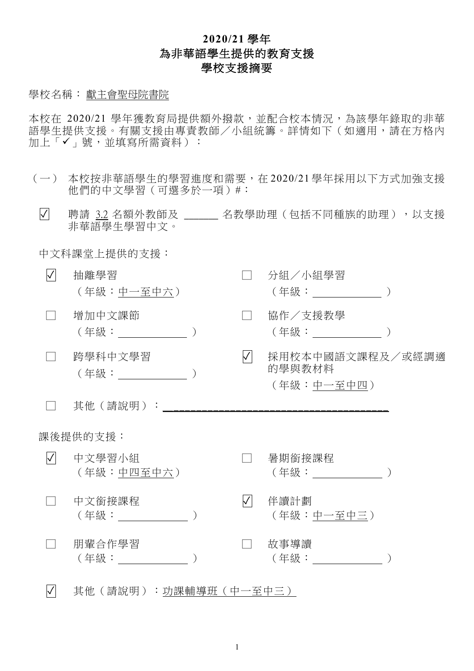## **2020/21** 學年 為非華語學生提供的教育支援 學校支援摘要

## 學校名稱: 獻主會聖母院書院

本校在 2020/21 學年獲教育局提供額外撥款,並配合校本情況,為該學年錄取的非華 語學生提供支援。有關支援由專責教師/小組統籌。詳情如下(如適用,請在方格內 加上「v」號,並填寫所需資料):

- (一) 本校按非華語學生的學習進度和需要,在 2020/21 學年採用以下方式加強支援 他們的中文學習(可選多於一項)#:
	- $\Box$  聘請 3.2 名額外教師及 \_\_\_\_\_\_ 名教學助理(包括不同種族的助理),以支援 非華語學生學習中文。

中文科課堂上提供的支援:

| $\sqrt{}$ | 抽離學習<br>(年級:中一至中六)            |  |           | 分組/小組學習<br>(年級:_____________)            |  |  |
|-----------|-------------------------------|--|-----------|------------------------------------------|--|--|
|           | 增加中文課節<br>(年級:______________) |  |           | 協作/支援教學<br>(年級:_________________)        |  |  |
|           | 跨學科中文學習                       |  | $\sqrt{}$ | 採用校本中國語文課程及/或經調適<br>的學與教材料<br>(年級:中一至中四) |  |  |
|           | 其他(請說明):                      |  |           |                                          |  |  |
| 課後提供的支援:  |                               |  |           |                                          |  |  |
| $\sqrt{}$ | 中文學習小組<br>(年級:中四至中六)          |  |           | 暑期銜接課程<br>(年級: ) (1)                     |  |  |
|           | 中文銜接課程                        |  | $\sqrt{}$ | 伴讀計劃<br>(年級:中一至中三)                       |  |  |
|           | 朋輩合作學習                        |  |           | 故事導讀<br>(年級: ) しゅうしょう                    |  |  |
|           |                               |  |           |                                          |  |  |

✓ 其他(請說明):功課輔導班(中一至中三)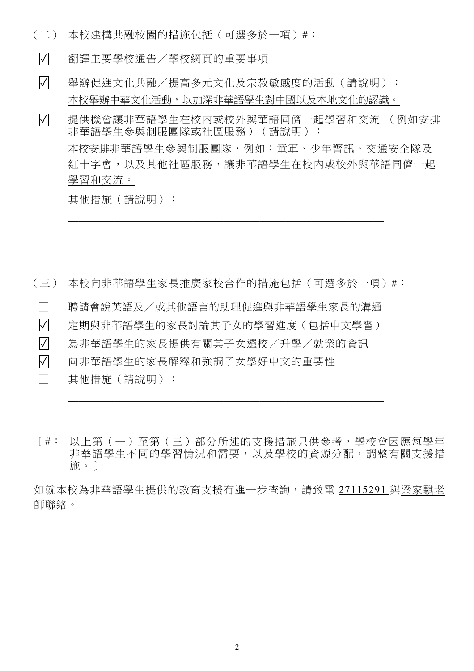(二) 本校建構共融校園的措施包括(可選多於一項)#︰

✓ 翻譯主要學校通告/學校網頁的重要事項

✓ 舉辦促進文化共融/提高多元文化及宗教敏感度的活動(請說明): 本校舉辦中華文化活動,以加深非華語學生對中國以及本地文化的認識。

✓ 提供機會讓非華語學生在校內或校外與華語同儕一起學習和交流 (例如安排 非華語學生參與制服團隊或社區服務) (請說明): 本校安排非華語學生參與制服團隊,例如:童軍、少年警訊、交通安全隊及 紅十字會,以及其他社區服務,讓非華語學生在校內或校外與華語同儕一起 學習和交流。

□ 其他措施(請說明):

(三) 本校向非華語學生家長推廣家校合作的措施包括(可選多於一項)#:

□ 聘請會說英語及/或其他語言的助理促進與非華語學生家長的溝通

✓ 定期與非華語學生的家長討論其子女的學習進度(包括中文學習)

✓ 為非華語學生的家長提供有關其子女選校/升學/就業的資訊

✓ 向非華語學生的家長解釋和強調子女學好中文的重要性

□ 其他措施(請說明):

[#: 以上第(一)至第(三)部分所述的支援措施只供參考,學校會因應每學年 非華語學生不同的學習情況和需要,以及學校的資源分配,調整有關支援措 施。]

如就本校為非華語學生提供的教育支援有進一步查詢,請致電 27115291 與梁家騏老 師聯絡。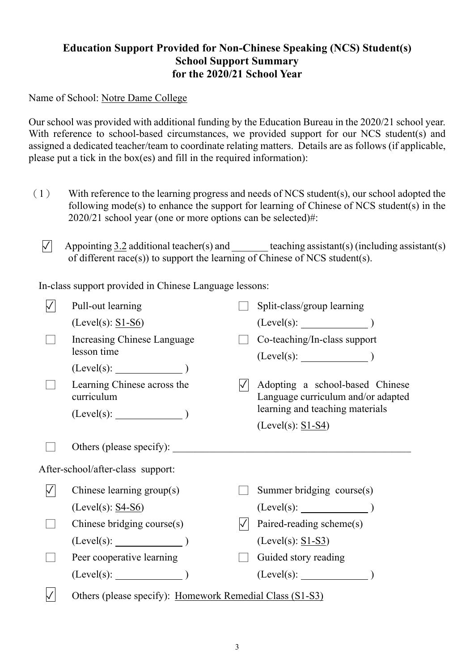## **Education Support Provided for Non-Chinese Speaking (NCS) Student(s) School Support Summary for the 2020/21 School Year**

Name of School: Notre Dame College

Our school was provided with additional funding by the Education Bureau in the 2020/21 school year. With reference to school-based circumstances, we provided support for our NCS student(s) and assigned a dedicated teacher/team to coordinate relating matters. Details are as follows (if applicable, please put a tick in the box(es) and fill in the required information):

- (1) With reference to the learning progress and needs of NCS student(s), our school adopted the following mode(s) to enhance the support for learning of Chinese of NCS student(s) in the 2020/21 school year (one or more options can be selected)#:
	- $\overline{V}$  Appointing 3.2 additional teacher(s) and teaching assistant(s) (including assistant(s) of different race(s)) to support the learning of Chinese of NCS student(s).

In-class support provided in Chinese Language lessons:

|                                   | Pull-out learning                         |  | Split-class/group learning                                            |  |  |  |
|-----------------------------------|-------------------------------------------|--|-----------------------------------------------------------------------|--|--|--|
|                                   | $(Level(s): S1-S6)$                       |  |                                                                       |  |  |  |
|                                   | Increasing Chinese Language               |  | Co-teaching/In-class support                                          |  |  |  |
|                                   | lesson time                               |  | (Level(s):                                                            |  |  |  |
|                                   | $(Level(s):$ $)$                          |  |                                                                       |  |  |  |
|                                   | Learning Chinese across the<br>curriculum |  | Adopting a school-based Chinese<br>Language curriculum and/or adapted |  |  |  |
|                                   | $(Level(s):$ (Level(s): $)$               |  | learning and teaching materials                                       |  |  |  |
|                                   |                                           |  | $(Level(s): S1-S4)$                                                   |  |  |  |
|                                   | Others (please specify):                  |  |                                                                       |  |  |  |
| After-school/after-class support: |                                           |  |                                                                       |  |  |  |
|                                   | Chinese learning group(s)                 |  | Summer bridging course(s)                                             |  |  |  |
|                                   | $(Level(s): S4-S6)$                       |  | $(Level(s):$ $)$                                                      |  |  |  |
|                                   | Chinese bridging course(s)                |  | Paired-reading scheme(s)                                              |  |  |  |
|                                   |                                           |  | $(Level(s): S1-S3)$                                                   |  |  |  |
|                                   | Peer cooperative learning                 |  | Guided story reading                                                  |  |  |  |
|                                   | (Level(s):                                |  | (Level(s):                                                            |  |  |  |
|                                   |                                           |  |                                                                       |  |  |  |

 $\vert \sqrt{\vert}$  Others (please specify): Homework Remedial Class (S1-S3)